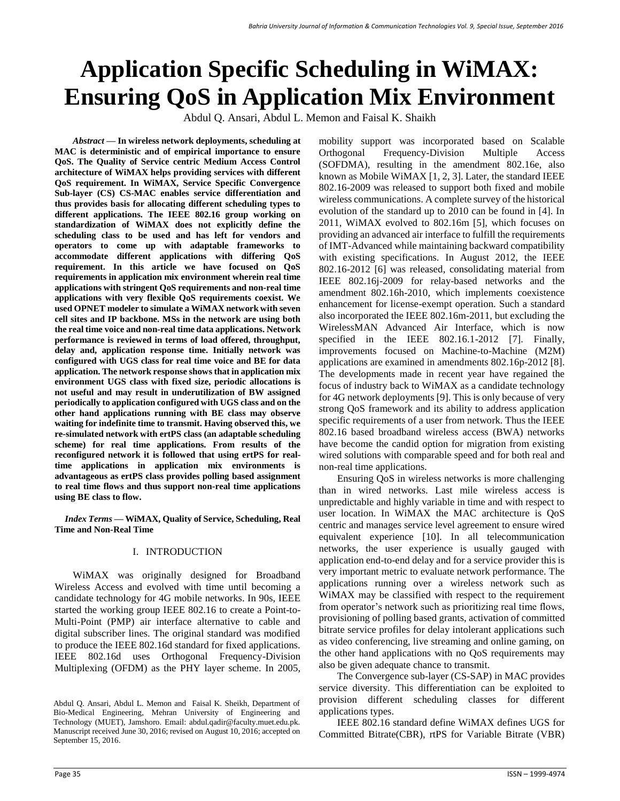# **Application Specific Scheduling in WiMAX: Ensuring QoS in Application Mix Environment**

Abdul Q. Ansari, Abdul L. Memon and Faisal K. Shaikh

*Abstract* **— In wireless network deployments, scheduling at MAC is deterministic and of empirical importance to ensure QoS. The Quality of Service centric Medium Access Control architecture of WiMAX helps providing services with different QoS requirement. In WiMAX, Service Specific Convergence Sub-layer (CS) CS-MAC enables service differentiation and thus provides basis for allocating different scheduling types to different applications. The IEEE 802.16 group working on standardization of WiMAX does not explicitly define the scheduling class to be used and has left for vendors and operators to come up with adaptable frameworks to accommodate different applications with differing QoS requirement. In this article we have focused on QoS requirements in application mix environment wherein real time applications with stringent QoS requirements and non-real time applications with very flexible QoS requirements coexist. We used OPNET modeler to simulate a WiMAX network with seven cell sites and IP backbone. MSs in the network are using both the real time voice and non-real time data applications. Network performance is reviewed in terms of load offered, throughput, delay and, application response time. Initially network was configured with UGS class for real time voice and BE for data application. The network response shows that in application mix environment UGS class with fixed size, periodic allocations is not useful and may result in underutilization of BW assigned periodically to application configured with UGS class and on the other hand applications running with BE class may observe waiting for indefinite time to transmit. Having observed this, we re-simulated network with ertPS class (an adaptable scheduling scheme) for real time applications. From results of the reconfigured network it is followed that using ertPS for realtime applications in application mix environments is advantageous as ertPS class provides polling based assignment to real time flows and thus support non-real time applications using BE class to flow.**

*Index Terms* **— WiMAX, Quality of Service, Scheduling, Real Time and Non-Real Time**

# I. INTRODUCTION

WiMAX was originally designed for Broadband Wireless Access and evolved with time until becoming a candidate technology for 4G mobile networks. In 90s, IEEE started the working group IEEE 802.16 to create a Point-to-Multi-Point (PMP) air interface alternative to cable and digital subscriber lines. The original standard was modified to produce the IEEE 802.16d standard for fixed applications. IEEE 802.16d uses Orthogonal Frequency-Division Multiplexing (OFDM) as the PHY layer scheme. In 2005, mobility support was incorporated based on Scalable Orthogonal Frequency-Division Multiple Access (SOFDMA), resulting in the amendment 802.16e, also known as Mobile WiMAX [1, 2, 3]. Later, the standard IEEE 802.16-2009 was released to support both fixed and mobile wireless communications. A complete survey of the historical evolution of the standard up to 2010 can be found in [4]. In 2011, WiMAX evolved to 802.16m [5], which focuses on providing an advanced air interface to fulfill the requirements of IMT-Advanced while maintaining backward compatibility with existing specifications. In August 2012, the IEEE 802.16-2012 [6] was released, consolidating material from IEEE 802.16j-2009 for relay-based networks and the amendment 802.16h-2010, which implements coexistence enhancement for license-exempt operation. Such a standard also incorporated the IEEE 802.16m-2011, but excluding the WirelessMAN Advanced Air Interface, which is now specified in the IEEE 802.16.1-2012 [7]. Finally, improvements focused on Machine-to-Machine (M2M) applications are examined in amendments 802.16p-2012 [8]. The developments made in recent year have regained the focus of industry back to WiMAX as a candidate technology for 4G network deployments [9]. This is only because of very strong QoS framework and its ability to address application specific requirements of a user from network. Thus the IEEE 802.16 based broadband wireless access (BWA) networks have become the candid option for migration from existing wired solutions with comparable speed and for both real and non-real time applications.

Ensuring QoS in wireless networks is more challenging than in wired networks. Last mile wireless access is unpredictable and highly variable in time and with respect to user location. In WiMAX the MAC architecture is QoS centric and manages service level agreement to ensure wired equivalent experience [10]. In all telecommunication networks, the user experience is usually gauged with application end-to-end delay and for a service provider this is very important metric to evaluate network performance. The applications running over a wireless network such as WiMAX may be classified with respect to the requirement from operator's network such as prioritizing real time flows, provisioning of polling based grants, activation of committed bitrate service profiles for delay intolerant applications such as video conferencing, live streaming and online gaming, on the other hand applications with no QoS requirements may also be given adequate chance to transmit.

The Convergence sub-layer (CS-SAP) in MAC provides service diversity. This differentiation can be exploited to provision different scheduling classes for different applications types.

IEEE 802.16 standard define WiMAX defines UGS for Committed Bitrate(CBR), rtPS for Variable Bitrate (VBR)

Abdul Q. Ansari, Abdul L. Memon and Faisal K. Sheikh, Department of Bio-Medical Engineering, Mehran University of Engineering and Technology (MUET), Jamshoro. Email: abdul.qadir@faculty.muet.edu.pk. Manuscript received June 30, 2016; revised on August 10, 2016; accepted on September 15, 2016.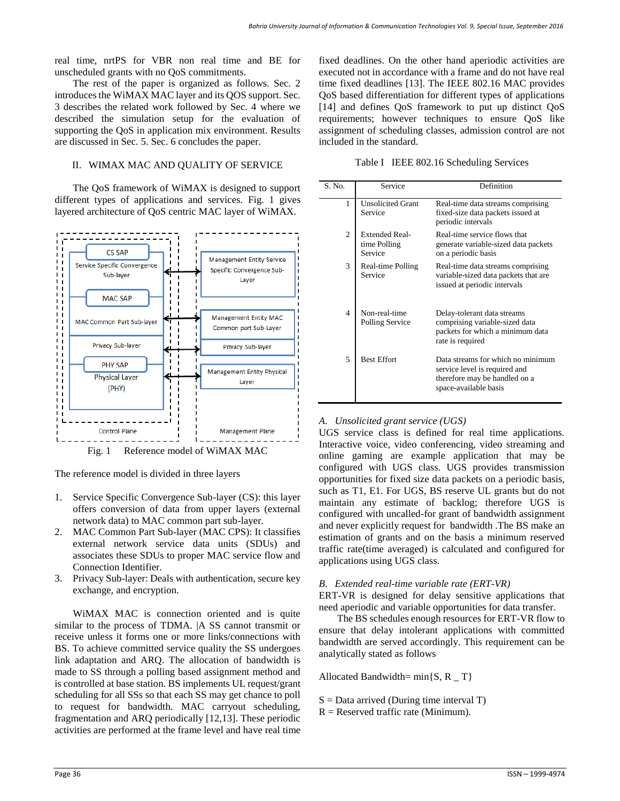real time, nrtPS for VBR non real time and BE for unscheduled grants with no QoS commitments.

The rest of the paper is organized as follows. Sec. 2 introduces the WiMAX MAC layer and its QOS support. Sec. 3 describes the related work followed by Sec. 4 where we described the simulation setup for the evaluation of supporting the QoS in application mix environment. Results are discussed in Sec. 5. Sec. 6 concludes the paper.

#### II. WIMAX MAC AND QUALITY OF SERVICE

The QoS framework of WiMAX is designed to support different types of applications and services. Fig. 1 gives layered architecture of QoS centric MAC layer of WiMAX.



The reference model is divided in three layers

- 1. Service Specific Convergence Sub-layer (CS): this layer offers conversion of data from upper layers (external network data) to MAC common part sub-layer.
- 2. MAC Common Part Sub-layer (MAC CPS): It classifies external network service data units (SDUs) and associates these SDUs to proper MAC service flow and Connection Identifier.
- 3. Privacy Sub-layer: Deals with authentication, secure key exchange, and encryption.

WiMAX MAC is connection oriented and is quite similar to the process of TDMA. |A SS cannot transmit or receive unless it forms one or more links/connections with BS. To achieve committed service quality the SS undergoes link adaptation and ARQ. The allocation of bandwidth is made to SS through a polling based assignment method and is controlled at base station. BS implements UL request/grant scheduling for all SSs so that each SS may get chance to poll to request for bandwidth. MAC carryout scheduling, fragmentation and ARQ periodically [12,13]. These periodic activities are performed at the frame level and have real time fixed deadlines. On the other hand aperiodic activities are executed not in accordance with a frame and do not have real time fixed deadlines [13]. The IEEE 802.16 MAC provides QoS based differentiation for different types of applications [14] and defines QoS framework to put up distinct QoS requirements; however techniques to ensure QoS like assignment of scheduling classes, admission control are not included in the standard.

| Table I IEEE 802.16 Scheduling Services |
|-----------------------------------------|
|-----------------------------------------|

| S. No.         | Service                                          | Definition                                                                                                                   |
|----------------|--------------------------------------------------|------------------------------------------------------------------------------------------------------------------------------|
| 1              | <b>Unsolicited Grant</b><br>Service              | Real-time data streams comprising<br>fixed-size data packets issued at<br>periodic intervals                                 |
| $\overline{c}$ | <b>Extended Real-</b><br>time Polling<br>Service | Real-time service flows that<br>generate variable-sized data packets<br>on a periodic basis                                  |
| 3              | Real-time Polling<br>Service                     | Real-time data streams comprising<br>variable-sized data packets that are<br>issued at periodic intervals                    |
| 4              | Non-real-time<br>Polling Service                 | Delay-tolerant data streams<br>comprising variable-sized data<br>packets for which a minimum data<br>rate is required        |
| 5              | <b>Best Effort</b>                               | Data streams for which no minimum<br>service level is required and<br>therefore may be handled on a<br>space-available basis |

# *A. Unsolicited grant service (UGS)*

UGS service class is defined for real time applications. Interactive voice, video conferencing, video streaming and online gaming are example application that may be configured with UGS class. UGS provides transmission opportunities for fixed size data packets on a periodic basis, such as T1, E1. For UGS, BS reserve UL grants but do not maintain any estimate of backlog; therefore UGS is configured with uncalled-for grant of bandwidth assignment and never explicitly request for bandwidth .The BS make an estimation of grants and on the basis a minimum reserved traffic rate(time averaged) is calculated and configured for applications using UGS class.

#### *B. Extended real-time variable rate (ERT-VR)*

ERT-VR is designed for delay sensitive applications that need aperiodic and variable opportunities for data transfer.

The BS schedules enough resources for ERT-VR flow to ensure that delay intolerant applications with committed bandwidth are served accordingly. This requirement can be analytically stated as follows

Allocated Bandwidth=  $min\{S, R_T\}$ 

- $S = Data$  arrived (During time interval T)
- $R =$  Reserved traffic rate (Minimum).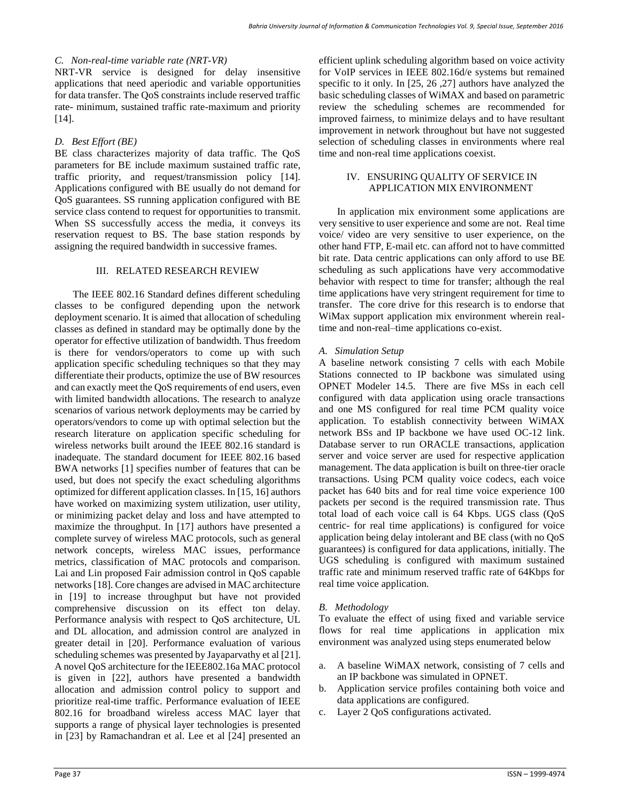#### *C. Non-real-time variable rate (NRT-VR)*

NRT-VR service is designed for delay insensitive applications that need aperiodic and variable opportunities for data transfer. The QoS constraints include reserved traffic rate- minimum, sustained traffic rate-maximum and priority [14].

# *D. Best Effort (BE)*

BE class characterizes majority of data traffic. The QoS parameters for BE include maximum sustained traffic rate, traffic priority, and request/transmission policy [14]. Applications configured with BE usually do not demand for QoS guarantees. SS running application configured with BE service class contend to request for opportunities to transmit. When SS successfully access the media, it conveys its reservation request to BS. The base station responds by assigning the required bandwidth in successive frames.

#### III. RELATED RESEARCH REVIEW

The IEEE 802.16 Standard defines different scheduling classes to be configured depending upon the network deployment scenario. It is aimed that allocation of scheduling classes as defined in standard may be optimally done by the operator for effective utilization of bandwidth. Thus freedom is there for vendors/operators to come up with such application specific scheduling techniques so that they may differentiate their products, optimize the use of BW resources and can exactly meet the QoS requirements of end users, even with limited bandwidth allocations. The research to analyze scenarios of various network deployments may be carried by operators/vendors to come up with optimal selection but the research literature on application specific scheduling for wireless networks built around the IEEE 802.16 standard is inadequate. The standard document for IEEE 802.16 based BWA networks [1] specifies number of features that can be used, but does not specify the exact scheduling algorithms optimized for different application classes. In [15, 16] authors have worked on maximizing system utilization, user utility, or minimizing packet delay and loss and have attempted to maximize the throughput. In [17] authors have presented a complete survey of wireless MAC protocols, such as general network concepts, wireless MAC issues, performance metrics, classification of MAC protocols and comparison. Lai and Lin proposed Fair admission control in QoS capable networks [18]. Core changes are advised in MAC architecture in [19] to increase throughput but have not provided comprehensive discussion on its effect ton delay. Performance analysis with respect to QoS architecture, UL and DL allocation, and admission control are analyzed in greater detail in [20]. Performance evaluation of various scheduling schemes was presented by Jayaparvathy et al [21]. A novel QoS architecture for the IEEE802.16a MAC protocol is given in [22], authors have presented a bandwidth allocation and admission control policy to support and prioritize real-time traffic. Performance evaluation of IEEE 802.16 for broadband wireless access MAC layer that supports a range of physical layer technologies is presented in [23] by Ramachandran et al. Lee et al [24] presented an efficient uplink scheduling algorithm based on voice activity for VoIP services in IEEE 802.16d/e systems but remained specific to it only. In [25, 26 ,27] authors have analyzed the basic scheduling classes of WiMAX and based on parametric review the scheduling schemes are recommended for improved fairness, to minimize delays and to have resultant improvement in network throughout but have not suggested selection of scheduling classes in environments where real time and non-real time applications coexist.

#### IV. ENSURING QUALITY OF SERVICE IN APPLICATION MIX ENVIRONMENT

In application mix environment some applications are very sensitive to user experience and some are not. Real time voice/ video are very sensitive to user experience, on the other hand FTP, E-mail etc. can afford not to have committed bit rate. Data centric applications can only afford to use BE scheduling as such applications have very accommodative behavior with respect to time for transfer; although the real time applications have very stringent requirement for time to transfer. The core drive for this research is to endorse that WiMax support application mix environment wherein realtime and non-real–time applications co-exist.

# *A. Simulation Setup*

A baseline network consisting 7 cells with each Mobile Stations connected to IP backbone was simulated using OPNET Modeler 14.5. There are five MSs in each cell configured with data application using oracle transactions and one MS configured for real time PCM quality voice application. To establish connectivity between WiMAX network BSs and IP backbone we have used OC-12 link. Database server to run ORACLE transactions, application server and voice server are used for respective application management. The data application is built on three-tier oracle transactions. Using PCM quality voice codecs, each voice packet has 640 bits and for real time voice experience 100 packets per second is the required transmission rate. Thus total load of each voice call is 64 Kbps. UGS class (QoS centric- for real time applications) is configured for voice application being delay intolerant and BE class (with no QoS guarantees) is configured for data applications, initially. The UGS scheduling is configured with maximum sustained traffic rate and minimum reserved traffic rate of 64Kbps for real time voice application.

# *B. Methodology*

To evaluate the effect of using fixed and variable service flows for real time applications in application mix environment was analyzed using steps enumerated below

- a. A baseline WiMAX network, consisting of 7 cells and an IP backbone was simulated in OPNET.
- b. Application service profiles containing both voice and data applications are configured.
- c. Layer 2 QoS configurations activated.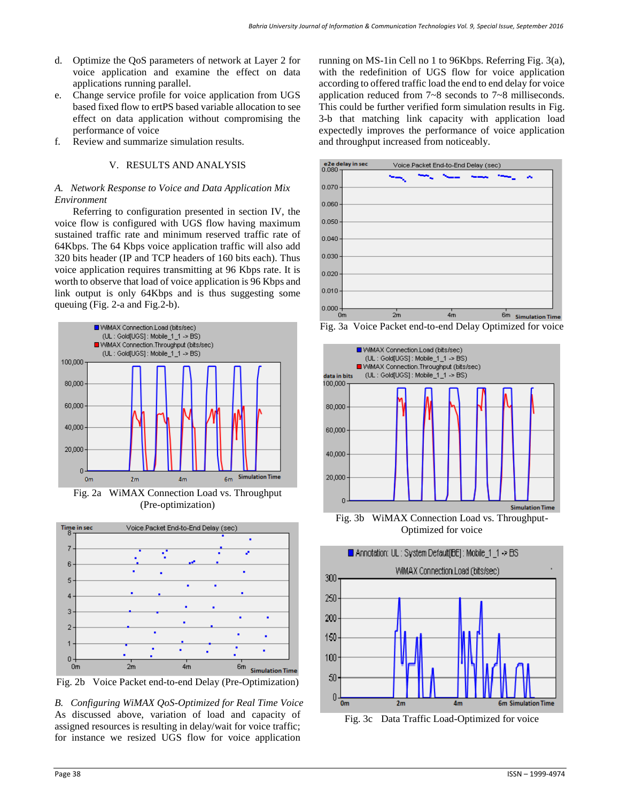- d. Optimize the QoS parameters of network at Layer 2 for voice application and examine the effect on data applications running parallel.
- e. Change service profile for voice application from UGS based fixed flow to ertPS based variable allocation to see effect on data application without compromising the performance of voice
- f. Review and summarize simulation results.

# V. RESULTS AND ANALYSIS

# *A. Network Response to Voice and Data Application Mix Environment*

Referring to configuration presented in section IV, the voice flow is configured with UGS flow having maximum sustained traffic rate and minimum reserved traffic rate of 64Kbps. The 64 Kbps voice application traffic will also add 320 bits header (IP and TCP headers of 160 bits each). Thus voice application requires transmitting at 96 Kbps rate. It is worth to observe that load of voice application is 96 Kbps and link output is only 64Kbps and is thus suggesting some queuing (Fig. 2-a and Fig.2-b).



Fig. 2a WiMAX Connection Load vs. Throughput (Pre-optimization)



Fig. 2b Voice Packet end-to-end Delay (Pre-Optimization)

*B. Configuring WiMAX QoS-Optimized for Real Time Voice* As discussed above, variation of load and capacity of assigned resources is resulting in delay/wait for voice traffic; for instance we resized UGS flow for voice application

running on MS-1in Cell no 1 to 96Kbps. Referring Fig. 3(a), with the redefinition of UGS flow for voice application according to offered traffic load the end to end delay for voice application reduced from 7~8 seconds to 7~8 milliseconds. This could be further verified form simulation results in Fig. 3-b that matching link capacity with application load expectedly improves the performance of voice application and throughput increased from noticeably.



Fig. 3a Voice Packet end-to-end Delay Optimized for voice



Optimized for voice



Fig. 3c Data Traffic Load-Optimized for voice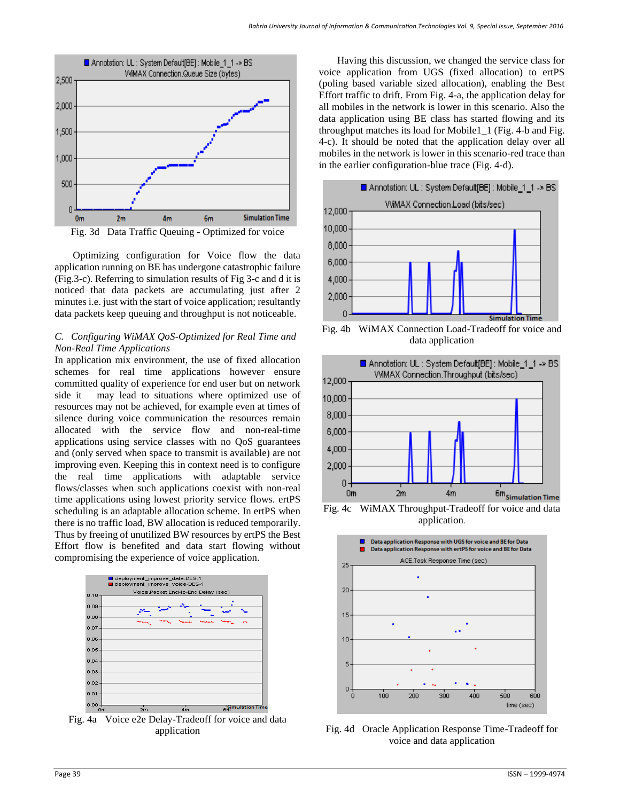

Optimizing configuration for Voice flow the data application running on BE has undergone catastrophic failure (Fig.3-c). Referring to simulation results of Fig 3-c and d it is noticed that data packets are accumulating just after 2 minutes i.e. just with the start of voice application; resultantly data packets keep queuing and throughput is not noticeable.

# *C. Configuring WiMAX QoS-Optimized for Real Time and Non-Real Time Applications*

In application mix environment, the use of fixed allocation schemes for real time applications however ensure committed quality of experience for end user but on network side it may lead to situations where optimized use of resources may not be achieved, for example even at times of silence during voice communication the resources remain allocated with the service flow and non-real-time applications using service classes with no QoS guarantees and (only served when space to transmit is available) are not improving even. Keeping this in context need is to configure the real time applications with adaptable service flows/classes when such applications coexist with non-real time applications using lowest priority service flows. ertPS scheduling is an adaptable allocation scheme. In ertPS when there is no traffic load, BW allocation is reduced temporarily. Thus by freeing of unutilized BW resources by ertPS the Best Effort flow is benefited and data start flowing without compromising the experience of voice application.



Fig. 4a Voice e2e Delay-Tradeoff for voice and data application

Having this discussion, we changed the service class for voice application from UGS (fixed allocation) to ertPS (poling based variable sized allocation), enabling the Best Effort traffic to drift. From Fig. 4-a, the application delay for all mobiles in the network is lower in this scenario. Also the data application using BE class has started flowing and its throughput matches its load for Mobile1\_1 (Fig. 4-b and Fig. 4-c). It should be noted that the application delay over all mobiles in the network is lower in this scenario-red trace than in the earlier configuration-blue trace (Fig. 4-d).



Fig. 4b WiMAX Connection Load-Tradeoff for voice and data application



application.



Fig. 4d Oracle Application Response Time-Tradeoff for voice and data application